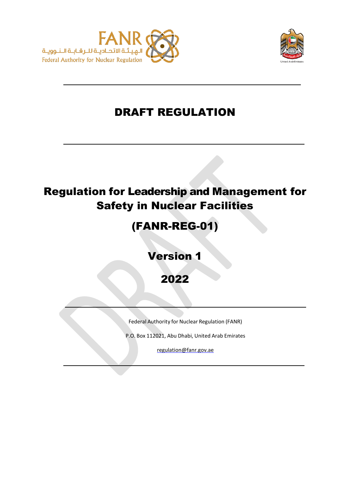



# DRAFT REGULATION

# Regulation for Leadership and Management for Safety in Nuclear Facilities

# (FANR-REG-01)

Version 1

2022

Federal Authority for Nuclear Regulation (FANR)

P.O. Box 112021, Abu Dhabi, United Arab Emirates

[regulation@fanr.gov.ae](http://www.fanr.gov.ae/)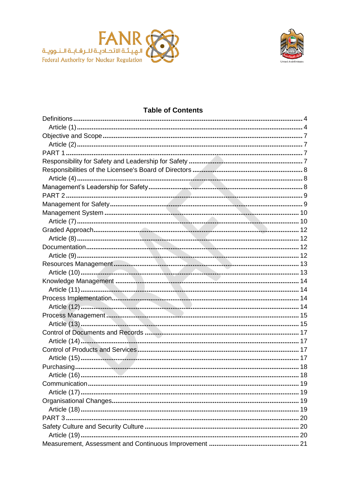



## **Table of Contents**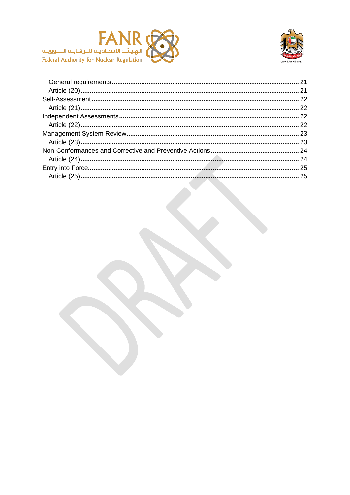

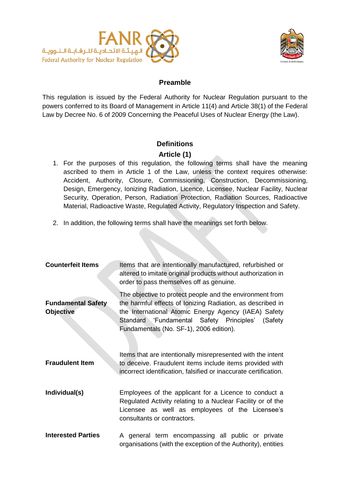



# **Preamble**

This regulation is issued by the Federal Authority for Nuclear Regulation pursuant to the powers conferred to its Board of Management in Article 11(4) and Article 38(1) of the Federal Law by Decree No. 6 of 2009 Concerning the Peaceful Uses of Nuclear Energy (the Law).

# **Definitions**

# **Article (1)**

- <span id="page-3-1"></span><span id="page-3-0"></span>1. For the purposes of this regulation, the following terms shall have the meaning ascribed to them in Article 1 of the Law, unless the context requires otherwise: Accident, Authority, Closure, Commissioning, Construction, Decommissioning, Design, Emergency, Ionizing Radiation, Licence, Licensee, Nuclear Facility, Nuclear Security, Operation, Person, Radiation Protection, Radiation Sources, Radioactive Material, Radioactive Waste, Regulated Activity, Regulatory Inspection and Safety.
- 2. In addition, the following terms shall have the meanings set forth below.

| <b>Counterfeit Items</b>                      | Items that are intentionally manufactured, refurbished or<br>altered to imitate original products without authorization in<br>order to pass themselves off as genuine.                                                                                                        |
|-----------------------------------------------|-------------------------------------------------------------------------------------------------------------------------------------------------------------------------------------------------------------------------------------------------------------------------------|
| <b>Fundamental Safety</b><br><b>Objective</b> | The objective to protect people and the environment from<br>the harmful effects of lonizing Radiation, as described in<br>the International Atomic Energy Agency (IAEA) Safety<br>Standard 'Fundamental Safety Principles' (Safety<br>Fundamentals (No. SF-1), 2006 edition). |
| <b>Fraudulent Item</b>                        | Items that are intentionally misrepresented with the intent<br>to deceive. Fraudulent items include items provided with<br>incorrect identification, falsified or inaccurate certification.                                                                                   |
| Individual(s)                                 | Employees of the applicant for a Licence to conduct a<br>Regulated Activity relating to a Nuclear Facility or of the<br>Licensee as well as employees of the Licensee's<br>consultants or contractors.                                                                        |
| <b>Interested Parties</b>                     | A general term encompassing all public or private<br>organisations (with the exception of the Authority), entities                                                                                                                                                            |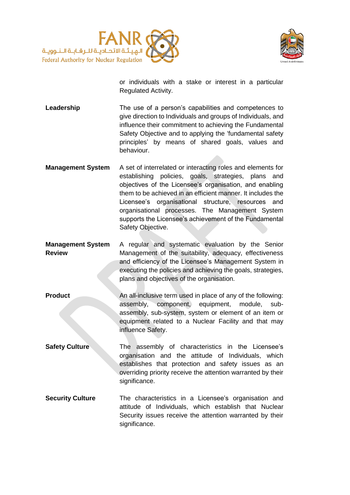



or individuals with a stake or interest in a particular Regulated Activity.

**Leadership** The use of a person's capabilities and competences to give direction to Individuals and groups of Individuals, and influence their commitment to achieving the Fundamental Safety Objective and to applying the 'fundamental safety principles' by means of shared goals, values and behaviour.

- **Management System** A set of interrelated or interacting roles and elements for establishing policies, goals, strategies, plans and objectives of the Licensee's organisation, and enabling them to be achieved in an efficient manner. It includes the Licensee's organisational structure, resources and organisational processes. The Management System supports the Licensee's achievement of the Fundamental Safety Objective.
- **Management System Review** A regular and systematic evaluation by the Senior Management of the suitability, adequacy, effectiveness and efficiency of the Licensee's Management System in executing the policies and achieving the goals, strategies, plans and objectives of the organisation.
- **Product** An all-inclusive term used in place of any of the following: assembly, component, equipment, module, subassembly, sub-system, system or element of an item or equipment related to a Nuclear Facility and that may influence Safety.
- **Safety Culture** The assembly of characteristics in the Licensee's organisation and the attitude of Individuals, which establishes that protection and safety issues as an overriding priority receive the attention warranted by their significance.
- **Security Culture** The characteristics in a Licensee's organisation and attitude of Individuals, which establish that Nuclear Security issues receive the attention warranted by their significance.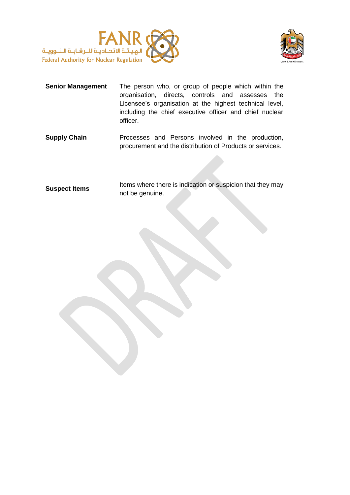



- **Senior Management** The person who, or group of people which within the organisation, directs, controls and assesses the Licensee's organisation at the highest technical level, including the chief executive officer and chief nuclear officer.
- **Supply Chain** Processes and Persons involved in the production, procurement and the distribution of Products or services.

**Suspect Items** Items where there is indication or suspicion that they may not be genuine.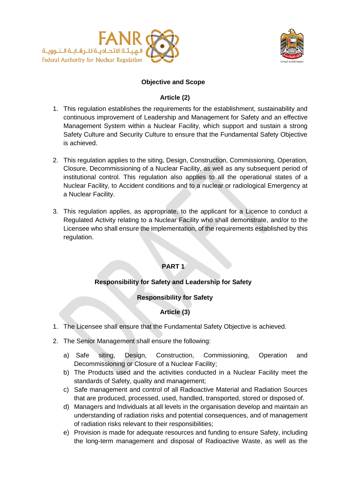



#### **Objective and Scope**

#### **Article (2)**

- <span id="page-6-1"></span><span id="page-6-0"></span>1. This regulation establishes the requirements for the establishment, sustainability and continuous improvement of Leadership and Management for Safety and an effective Management System within a Nuclear Facility, which support and sustain a strong Safety Culture and Security Culture to ensure that the Fundamental Safety Objective is achieved.
- 2. This regulation applies to the siting, Design, Construction, Commissioning, Operation, Closure, Decommissioning of a Nuclear Facility, as well as any subsequent period of institutional control. This regulation also applies to all the operational states of a Nuclear Facility, to Accident conditions and to a nuclear or radiological Emergency at a Nuclear Facility.
- <span id="page-6-2"></span>3. This regulation applies, as appropriate, to the applicant for a Licence to conduct a Regulated Activity relating to a Nuclear Facility who shall demonstrate, and/or to the Licensee who shall ensure the implementation, of the requirements established by this regulation.

# **PART 1**

# **Responsibility for Safety and Leadership for Safety**

# **Responsibility for Safety**

# **Article (3)**

- <span id="page-6-3"></span>1. The Licensee shall ensure that the Fundamental Safety Objective is achieved.
- 2. The Senior Management shall ensure the following:
	- a) Safe siting, Design, Construction, Commissioning, Operation and Decommissioning or Closure of a Nuclear Facility;
	- b) The Products used and the activities conducted in a Nuclear Facility meet the standards of Safety, quality and management;
	- c) Safe management and control of all Radioactive Material and Radiation Sources that are produced, processed, used, handled, transported, stored or disposed of.
	- d) Managers and Individuals at all levels in the organisation develop and maintain an understanding of radiation risks and potential consequences, and of management of radiation risks relevant to their responsibilities;
	- e) Provision is made for adequate resources and funding to ensure Safety, including the long-term management and disposal of Radioactive Waste, as well as the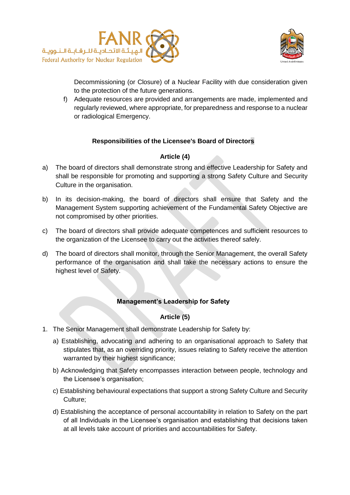



Decommissioning (or Closure) of a Nuclear Facility with due consideration given to the protection of the future generations.

f) Adequate resources are provided and arrangements are made, implemented and regularly reviewed, where appropriate, for preparedness and response to a nuclear or radiological Emergency.

# **Responsibilities of the Licensee's Board of Directors**

#### **Article (4)**

- <span id="page-7-1"></span><span id="page-7-0"></span>a) The board of directors shall demonstrate strong and effective Leadership for Safety and shall be responsible for promoting and supporting a strong Safety Culture and Security Culture in the organisation.
- b) In its decision-making, the board of directors shall ensure that Safety and the Management System supporting achievement of the Fundamental Safety Objective are not compromised by other priorities.
- c) The board of directors shall provide adequate competences and sufficient resources to the organization of the Licensee to carry out the activities thereof safely.
- d) The board of directors shall monitor, through the Senior Management, the overall Safety performance of the organisation and shall take the necessary actions to ensure the highest level of Safety.

#### **Management's Leadership for Safety**

#### **Article (5)**

- <span id="page-7-2"></span>1. The Senior Management shall demonstrate Leadership for Safety by:
	- a) Establishing, advocating and adhering to an organisational approach to Safety that stipulates that, as an overriding priority, issues relating to Safety receive the attention warranted by their highest significance;
	- b) Acknowledging that Safety encompasses interaction between people, technology and the Licensee's organisation;
	- c) Establishing behavioural expectations that support a strong Safety Culture and Security Culture;
	- d) Establishing the acceptance of personal accountability in relation to Safety on the part of all Individuals in the Licensee's organisation and establishing that decisions taken at all levels take account of priorities and accountabilities for Safety.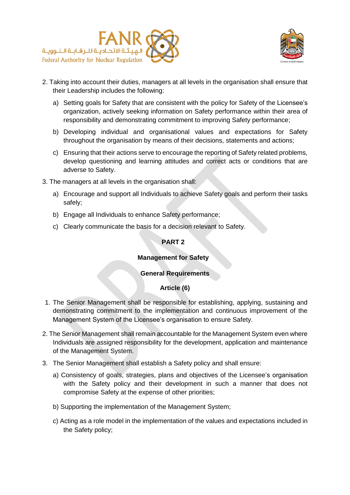



- 2. Taking into account their duties, managers at all levels in the organisation shall ensure that their Leadership includes the following:
	- a) Setting goals for Safety that are consistent with the policy for Safety of the Licensee's organization, actively seeking information on Safety performance within their area of responsibility and demonstrating commitment to improving Safety performance;
	- b) Developing individual and organisational values and expectations for Safety throughout the organisation by means of their decisions, statements and actions;
	- c) Ensuring that their actions serve to encourage the reporting of Safety related problems, develop questioning and learning attitudes and correct acts or conditions that are adverse to Safety.
- <span id="page-8-0"></span>3. The managers at all levels in the organisation shall:
	- a) Encourage and support all Individuals to achieve Safety goals and perform their tasks safely;
	- b) Engage all Individuals to enhance Safety performance;
	- c) Clearly communicate the basis for a decision relevant to Safety.

#### **PART 2**

#### **Management for Safety**

#### **General Requirements**

#### **Article (6)**

- <span id="page-8-1"></span>1. The Senior Management shall be responsible for establishing, applying, sustaining and demonstrating commitment to the implementation and continuous improvement of the Management System of the Licensee's organisation to ensure Safety.
- 2. The Senior Management shall remain accountable for the Management System even where Individuals are assigned responsibility for the development, application and maintenance of the Management System.
- 3. The Senior Management shall establish a Safety policy and shall ensure:
	- a) Consistency of goals, strategies, plans and objectives of the Licensee's organisation with the Safety policy and their development in such a manner that does not compromise Safety at the expense of other priorities;
	- b) Supporting the implementation of the Management System;
	- c) Acting as a role model in the implementation of the values and expectations included in the Safety policy;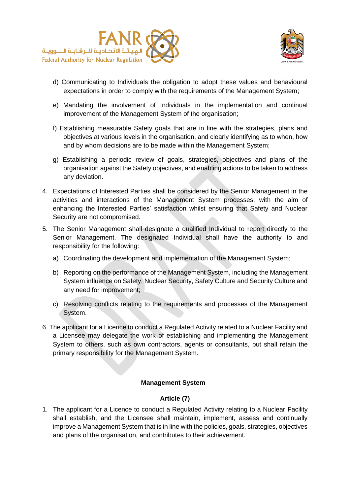



- d) Communicating to Individuals the obligation to adopt these values and behavioural expectations in order to comply with the requirements of the Management System;
- e) Mandating the involvement of Individuals in the implementation and continual improvement of the Management System of the organisation;
- f) Establishing measurable Safety goals that are in line with the strategies, plans and objectives at various levels in the organisation, and clearly identifying as to when, how and by whom decisions are to be made within the Management System;
- g) Establishing a periodic review of goals, strategies, objectives and plans of the organisation against the Safety objectives, and enabling actions to be taken to address any deviation.
- 4. Expectations of Interested Parties shall be considered by the Senior Management in the activities and interactions of the Management System processes, with the aim of enhancing the Interested Parties' satisfaction whilst ensuring that Safety and Nuclear Security are not compromised.
- 5. The Senior Management shall designate a qualified Individual to report directly to the Senior Management. The designated Individual shall have the authority to and responsibility for the following:
	- a) Coordinating the development and implementation of the Management System;
	- b) Reporting on the performance of the Management System, including the Management System influence on Safety, Nuclear Security, Safety Culture and Security Culture and any need for improvement;
	- c) Resolving conflicts relating to the requirements and processes of the Management System.
- 6. The applicant for a Licence to conduct a Regulated Activity related to a Nuclear Facility and a Licensee may delegate the work of establishing and implementing the Management System to others, such as own contractors, agents or consultants, but shall retain the primary responsibility for the Management System.

#### **Management System**

#### **Article (7)**

<span id="page-9-1"></span><span id="page-9-0"></span>1. The applicant for a Licence to conduct a Regulated Activity relating to a Nuclear Facility shall establish, and the Licensee shall maintain, implement, assess and continually improve a Management System that is in line with the policies, goals, strategies, objectives and plans of the organisation, and contributes to their achievement.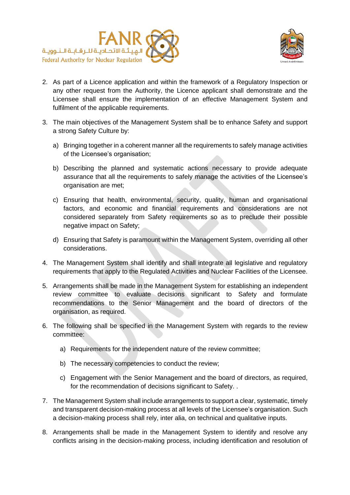



- 2. As part of a Licence application and within the framework of a Regulatory Inspection or any other request from the Authority, the Licence applicant shall demonstrate and the Licensee shall ensure the implementation of an effective Management System and fulfilment of the applicable requirements.
- 3. The main objectives of the Management System shall be to enhance Safety and support a strong Safety Culture by:
	- a) Bringing together in a coherent manner all the requirements to safely manage activities of the Licensee's organisation;
	- b) Describing the planned and systematic actions necessary to provide adequate assurance that all the requirements to safely manage the activities of the Licensee's organisation are met;
	- c) Ensuring that health, environmental, security, quality, human and organisational factors, and economic and financial requirements and considerations are not considered separately from Safety requirements so as to preclude their possible negative impact on Safety;
	- d) Ensuring that Safety is paramount within the Management System, overriding all other considerations.
- 4. The Management System shall identify and shall integrate all legislative and regulatory requirements that apply to the Regulated Activities and Nuclear Facilities of the Licensee.
- 5. Arrangements shall be made in the Management System for establishing an independent review committee to evaluate decisions significant to Safety and formulate recommendations to the Senior Management and the board of directors of the organisation, as required.
- 6. The following shall be specified in the Management System with regards to the review committee:
	- a) Requirements for the independent nature of the review committee;
	- b) The necessary competencies to conduct the review;
	- c) Engagement with the Senior Management and the board of directors, as required, for the recommendation of decisions significant to Safety. .
- 7. The Management System shall include arrangements to support a clear, systematic, timely and transparent decision-making process at all levels of the Licensee's organisation. Such a decision-making process shall rely, inter alia, on technical and qualitative inputs.
- 8. Arrangements shall be made in the Management System to identify and resolve any conflicts arising in the decision-making process, including identification and resolution of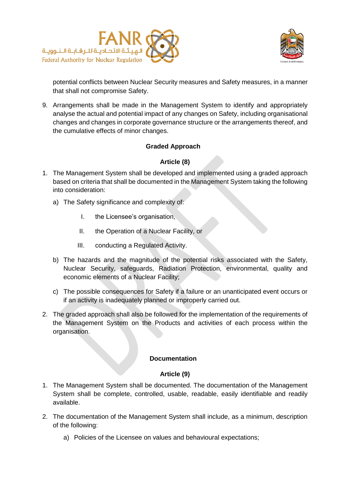



potential conflicts between Nuclear Security measures and Safety measures, in a manner that shall not compromise Safety.

9. Arrangements shall be made in the Management System to identify and appropriately analyse the actual and potential impact of any changes on Safety, including organisational changes and changes in corporate governance structure or the arrangements thereof, and the cumulative effects of minor changes.

#### **Graded Approach**

#### **Article (8)**

- <span id="page-11-1"></span><span id="page-11-0"></span>1. The Management System shall be developed and implemented using a graded approach based on criteria that shall be documented in the Management System taking the following into consideration:
	- a) The Safety significance and complexity of:
		- I. the Licensee's organisation,
		- II. the Operation of a Nuclear Facility, or
		- III. conducting a Regulated Activity.
	- b) The hazards and the magnitude of the potential risks associated with the Safety, Nuclear Security, safeguards, Radiation Protection, environmental, quality and economic elements of a Nuclear Facility;
	- c) The possible consequences for Safety if a failure or an unanticipated event occurs or if an activity is inadequately planned or improperly carried out.
- 2. The graded approach shall also be followed for the implementation of the requirements of the Management System on the Products and activities of each process within the organisation.

#### **Documentation**

#### **Article (9)**

- <span id="page-11-3"></span><span id="page-11-2"></span>1. The Management System shall be documented. The documentation of the Management System shall be complete, controlled, usable, readable, easily identifiable and readily available.
- 2. The documentation of the Management System shall include, as a minimum, description of the following:
	- a) Policies of the Licensee on values and behavioural expectations;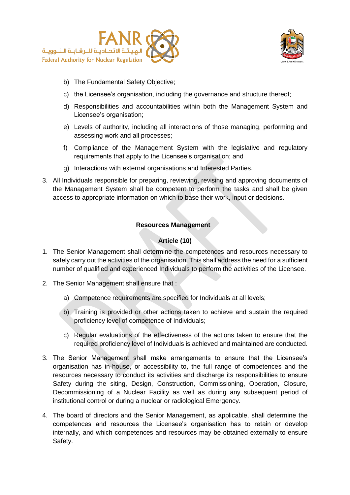



- b) The Fundamental Safety Objective;
- c) the Licensee's organisation, including the governance and structure thereof;
- d) Responsibilities and accountabilities within both the Management System and Licensee's organisation;
- e) Levels of authority, including all interactions of those managing, performing and assessing work and all processes;
- f) Compliance of the Management System with the legislative and regulatory requirements that apply to the Licensee's organisation; and
- g) Interactions with external organisations and Interested Parties.
- 3. All Individuals responsible for preparing, reviewing, revising and approving documents of the Management System shall be competent to perform the tasks and shall be given access to appropriate information on which to base their work, input or decisions.

#### **Resources Management**

## **Article (10)**

- <span id="page-12-1"></span><span id="page-12-0"></span>1. The Senior Management shall determine the competences and resources necessary to safely carry out the activities of the organisation. This shall address the need for a sufficient number of qualified and experienced Individuals to perform the activities of the Licensee.
- 2. The Senior Management shall ensure that :
	- a) Competence requirements are specified for Individuals at all levels;
	- b) Training is provided or other actions taken to achieve and sustain the required proficiency level of competence of Individuals;
	- c) Regular evaluations of the effectiveness of the actions taken to ensure that the required proficiency level of Individuals is achieved and maintained are conducted.
- 3. The Senior Management shall make arrangements to ensure that the Licensee's organisation has in-house, or accessibility to, the full range of competences and the resources necessary to conduct its activities and discharge its responsibilities to ensure Safety during the siting, Design, Construction, Commissioning, Operation, Closure, Decommissioning of a Nuclear Facility as well as during any subsequent period of institutional control or during a nuclear or radiological Emergency.
- 4. The board of directors and the Senior Management, as applicable, shall determine the competences and resources the Licensee's organisation has to retain or develop internally, and which competences and resources may be obtained externally to ensure Safety.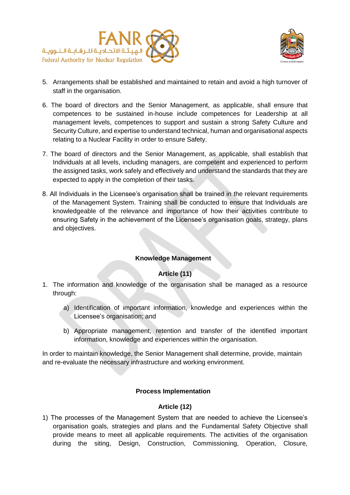



- 5. Arrangements shall be established and maintained to retain and avoid a high turnover of staff in the organisation.
- 6. The board of directors and the Senior Management, as applicable, shall ensure that competences to be sustained in-house include competences for Leadership at all management levels, competences to support and sustain a strong Safety Culture and Security Culture, and expertise to understand technical, human and organisational aspects relating to a Nuclear Facility in order to ensure Safety.
- 7. The board of directors and the Senior Management, as applicable, shall establish that Individuals at all levels, including managers, are competent and experienced to perform the assigned tasks, work safely and effectively and understand the standards that they are expected to apply in the completion of their tasks.
- 8. All Individuals in the Licensee's organisation shall be trained in the relevant requirements of the Management System. Training shall be conducted to ensure that Individuals are knowledgeable of the relevance and importance of how their activities contribute to ensuring Safety in the achievement of the Licensee's organisation goals, strategy, plans and objectives.

#### **Knowledge Management**

#### **Article (11)**

- <span id="page-13-1"></span><span id="page-13-0"></span>1. The information and knowledge of the organisation shall be managed as a resource through:
	- a) Identification of important information, knowledge and experiences within the Licensee's organisation; and
	- b) Appropriate management, retention and transfer of the identified important information, knowledge and experiences within the organisation.

In order to maintain knowledge, the Senior Management shall determine, provide, maintain and re-evaluate the necessary infrastructure and working environment.

#### **Process Implementation**

#### **Article (12)**

<span id="page-13-3"></span><span id="page-13-2"></span>1) The processes of the Management System that are needed to achieve the Licensee's organisation goals, strategies and plans and the Fundamental Safety Objective shall provide means to meet all applicable requirements. The activities of the organisation during the siting, Design, Construction, Commissioning, Operation, Closure,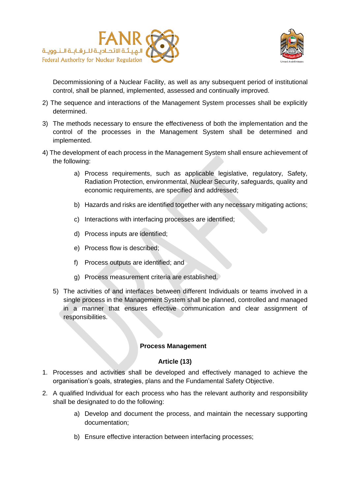



Decommissioning of a Nuclear Facility, as well as any subsequent period of institutional control, shall be planned, implemented, assessed and continually improved.

- 2) The sequence and interactions of the Management System processes shall be explicitly determined.
- 3) The methods necessary to ensure the effectiveness of both the implementation and the control of the processes in the Management System shall be determined and implemented.
- 4) The development of each process in the Management System shall ensure achievement of the following:
	- a) Process requirements, such as applicable legislative, regulatory, Safety, Radiation Protection, environmental, Nuclear Security, safeguards, quality and economic requirements, are specified and addressed;
	- b) Hazards and risks are identified together with any necessary mitigating actions;
	- c) Interactions with interfacing processes are identified;
	- d) Process inputs are identified;
	- e) Process flow is described;
	- f) Process outputs are identified; and
	- g) Process measurement criteria are established.
	- 5) The activities of and interfaces between different Individuals or teams involved in a single process in the Management System shall be planned, controlled and managed in a manner that ensures effective communication and clear assignment of responsibilities.

#### **Process Management**

#### **Article (13)**

- <span id="page-14-1"></span><span id="page-14-0"></span>1. Processes and activities shall be developed and effectively managed to achieve the organisation's goals, strategies, plans and the Fundamental Safety Objective.
- 2. A qualified Individual for each process who has the relevant authority and responsibility shall be designated to do the following:
	- a) Develop and document the process, and maintain the necessary supporting documentation;
	- b) Ensure effective interaction between interfacing processes;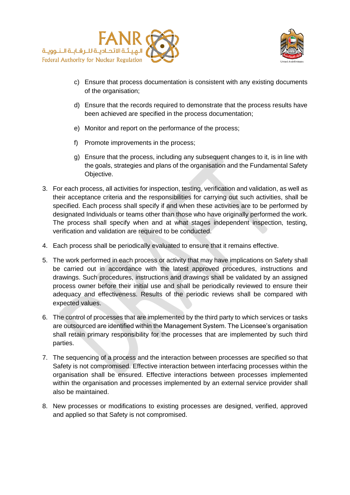



- c) Ensure that process documentation is consistent with any existing documents of the organisation;
- d) Ensure that the records required to demonstrate that the process results have been achieved are specified in the process documentation;
- e) Monitor and report on the performance of the process;
- f) Promote improvements in the process;
- g) Ensure that the process, including any subsequent changes to it, is in line with the goals, strategies and plans of the organisation and the Fundamental Safety Objective.
- 3. For each process, all activities for inspection, testing, verification and validation, as well as their acceptance criteria and the responsibilities for carrying out such activities, shall be specified. Each process shall specify if and when these activities are to be performed by designated Individuals or teams other than those who have originally performed the work. The process shall specify when and at what stages independent inspection, testing, verification and validation are required to be conducted.
- 4. Each process shall be periodically evaluated to ensure that it remains effective.
- 5. The work performed in each process or activity that may have implications on Safety shall be carried out in accordance with the latest approved procedures, instructions and drawings. Such procedures, instructions and drawings shall be validated by an assigned process owner before their initial use and shall be periodically reviewed to ensure their adequacy and effectiveness. Results of the periodic reviews shall be compared with expected values.
- 6. The control of processes that are implemented by the third party to which services or tasks are outsourced are identified within the Management System. The Licensee's organisation shall retain primary responsibility for the processes that are implemented by such third parties.
- 7. The sequencing of a process and the interaction between processes are specified so that Safety is not compromised. Effective interaction between interfacing processes within the organisation shall be ensured. Effective interactions between processes implemented within the organisation and processes implemented by an external service provider shall also be maintained.
- 8. New processes or modifications to existing processes are designed, verified, approved and applied so that Safety is not compromised.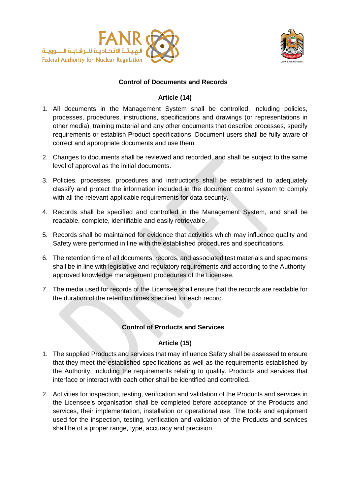



#### **Control of Documents and Records**

#### **Article (14)**

- <span id="page-16-1"></span><span id="page-16-0"></span>1. All documents in the Management System shall be controlled, including policies, processes, procedures, instructions, specifications and drawings (or representations in other media), training material and any other documents that describe processes, specify requirements or establish Product specifications. Document users shall be fully aware of correct and appropriate documents and use them.
- 2. Changes to documents shall be reviewed and recorded, and shall be subject to the same level of approval as the initial documents.
- 3. Policies, processes, procedures and instructions shall be established to adequately classify and protect the information included in the document control system to comply with all the relevant applicable requirements for data security.
- 4. Records shall be specified and controlled in the Management System, and shall be readable, complete, identifiable and easily retrievable.
- 5. Records shall be maintained for evidence that activities which may influence quality and Safety were performed in line with the established procedures and specifications.
- 6. The retention time of all documents, records, and associated test materials and specimens shall be in line with legislative and regulatory requirements and according to the Authorityapproved knowledge management procedures of the Licensee.
- <span id="page-16-2"></span>7. The media used for records of the Licensee shall ensure that the records are readable for the duration of the retention times specified for each record.

#### **Control of Products and Services**

#### **Article (15)**

- <span id="page-16-3"></span>1. The supplied Products and services that may influence Safety shall be assessed to ensure that they meet the established specifications as well as the requirements established by the Authority, including the requirements relating to quality. Products and services that interface or interact with each other shall be identified and controlled.
- 2. Activities for inspection, testing, verification and validation of the Products and services in the Licensee's organisation shall be completed before acceptance of the Products and services, their implementation, installation or operational use. The tools and equipment used for the inspection, testing, verification and validation of the Products and services shall be of a proper range, type, accuracy and precision.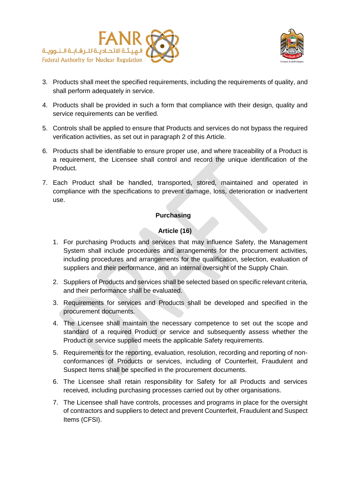



- 3. Products shall meet the specified requirements, including the requirements of quality, and shall perform adequately in service.
- 4. Products shall be provided in such a form that compliance with their design, quality and service requirements can be verified.
- 5. Controls shall be applied to ensure that Products and services do not bypass the required verification activities, as set out in paragraph 2 of this Article.
- 6. Products shall be identifiable to ensure proper use, and where traceability of a Product is a requirement, the Licensee shall control and record the unique identification of the Product.
- 7. Each Product shall be handled, transported, stored, maintained and operated in compliance with the specifications to prevent damage, loss, deterioration or inadvertent use.

#### **Purchasing**

#### **Article (16)**

- <span id="page-17-1"></span><span id="page-17-0"></span>1. For purchasing Products and services that may influence Safety, the Management System shall include procedures and arrangements for the procurement activities, including procedures and arrangements for the qualification, selection, evaluation of suppliers and their performance, and an internal oversight of the Supply Chain.
- 2. Suppliers of Products and services shall be selected based on specific relevant criteria, and their performance shall be evaluated.
- 3. Requirements for services and Products shall be developed and specified in the procurement documents.
- 4. The Licensee shall maintain the necessary competence to set out the scope and standard of a required Product or service and subsequently assess whether the Product or service supplied meets the applicable Safety requirements.
- 5. Requirements for the reporting, evaluation, resolution, recording and reporting of nonconformances of Products or services, including of Counterfeit, Fraudulent and Suspect Items shall be specified in the procurement documents.
- 6. The Licensee shall retain responsibility for Safety for all Products and services received, including purchasing processes carried out by other organisations.
- 7. The Licensee shall have controls, processes and programs in place for the oversight of contractors and suppliers to detect and prevent Counterfeit, Fraudulent and Suspect Items (CFSI).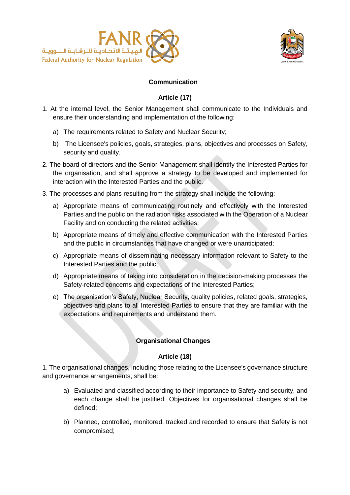



# **Communication**

#### **Article (17)**

- <span id="page-18-1"></span><span id="page-18-0"></span>1. At the internal level, the Senior Management shall communicate to the Individuals and ensure their understanding and implementation of the following:
	- a) The requirements related to Safety and Nuclear Security;
	- b) The Licensee's policies, goals, strategies, plans, objectives and processes on Safety, security and quality.
- 2. The board of directors and the Senior Management shall identify the Interested Parties for the organisation, and shall approve a strategy to be developed and implemented for interaction with the Interested Parties and the public.
- 3. The processes and plans resulting from the strategy shall include the following:
	- a) Appropriate means of communicating routinely and effectively with the Interested Parties and the public on the radiation risks associated with the Operation of a Nuclear Facility and on conducting the related activities;
	- b) Appropriate means of timely and effective communication with the Interested Parties and the public in circumstances that have changed or were unanticipated;
	- c) Appropriate means of disseminating necessary information relevant to Safety to the Interested Parties and the public;
	- d) Appropriate means of taking into consideration in the decision-making processes the Safety-related concerns and expectations of the Interested Parties;
	- e) The organisation's Safety, Nuclear Security, quality policies, related goals, strategies, objectives and plans to all Interested Parties to ensure that they are familiar with the expectations and requirements and understand them.

#### **Organisational Changes**

#### **Article (18)**

<span id="page-18-3"></span><span id="page-18-2"></span>1. The organisational changes, including those relating to the Licensee's governance structure and governance arrangements, shall be:

- a) Evaluated and classified according to their importance to Safety and security, and each change shall be justified. Objectives for organisational changes shall be defined;
- b) Planned, controlled, monitored, tracked and recorded to ensure that Safety is not compromised;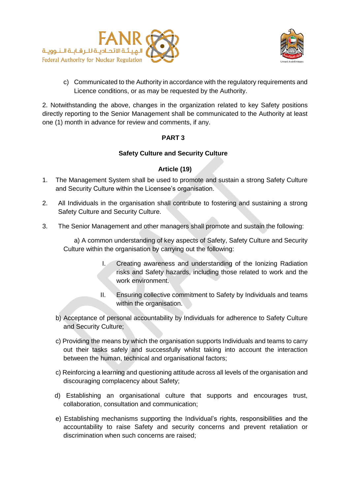



c) Communicated to the Authority in accordance with the regulatory requirements and Licence conditions, or as may be requested by the Authority.

<span id="page-19-0"></span>2. Notwithstanding the above, changes in the organization related to key Safety positions directly reporting to the Senior Management shall be communicated to the Authority at least one (1) month in advance for review and comments, if any.

#### **PART 3**

#### **Safety Culture and Security Culture**

#### **Article (19)**

- <span id="page-19-2"></span><span id="page-19-1"></span>1. The Management System shall be used to promote and sustain a strong Safety Culture and Security Culture within the Licensee's organisation.
- 2. All Individuals in the organisation shall contribute to fostering and sustaining a strong Safety Culture and Security Culture.
- 3. The Senior Management and other managers shall promote and sustain the following:

a) A common understanding of key aspects of Safety, Safety Culture and Security Culture within the organisation by carrying out the following:

- I. Creating awareness and understanding of the Ionizing Radiation risks and Safety hazards, including those related to work and the work environment.
- II. Ensuring collective commitment to Safety by Individuals and teams within the organisation.
- b) Acceptance of personal accountability by Individuals for adherence to Safety Culture and Security Culture;
- c) Providing the means by which the organisation supports Individuals and teams to carry out their tasks safely and successfully whilst taking into account the interaction between the human, technical and organisational factors;
- c) Reinforcing a learning and questioning attitude across all levels of the organisation and discouraging complacency about Safety;
- d) Establishing an organisational culture that supports and encourages trust, collaboration, consultation and communication;
- e) Establishing mechanisms supporting the Individual's rights, responsibilities and the accountability to raise Safety and security concerns and prevent retaliation or discrimination when such concerns are raised;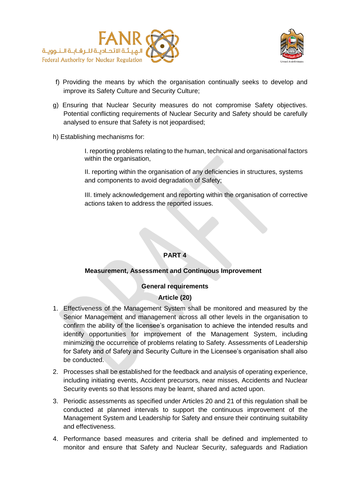



- f) Providing the means by which the organisation continually seeks to develop and improve its Safety Culture and Security Culture;
- g) Ensuring that Nuclear Security measures do not compromise Safety objectives. Potential conflicting requirements of Nuclear Security and Safety should be carefully analysed to ensure that Safety is not jeopardised;
- h) Establishing mechanisms for:

I. reporting problems relating to the human, technical and organisational factors within the organisation,

II. reporting within the organisation of any deficiencies in structures, systems and components to avoid degradation of Safety;

III. timely acknowledgement and reporting within the organisation of corrective actions taken to address the reported issues.

# **PART 4**

#### **Measurement, Assessment and Continuous Improvement**

# **General requirements**

#### **Article (20)**

- <span id="page-20-2"></span><span id="page-20-1"></span><span id="page-20-0"></span>1. Effectiveness of the Management System shall be monitored and measured by the Senior Management and management across all other levels in the organisation to confirm the ability of the licensee's organisation to achieve the intended results and identify opportunities for improvement of the Management System, including minimizing the occurrence of problems relating to Safety. Assessments of Leadership for Safety and of Safety and Security Culture in the Licensee's organisation shall also be conducted.
- 2. Processes shall be established for the feedback and analysis of operating experience, including initiating events, Accident precursors, near misses, Accidents and Nuclear Security events so that lessons may be learnt, shared and acted upon.
- 3. Periodic assessments as specified under Articles 20 and 21 of this regulation shall be conducted at planned intervals to support the continuous improvement of the Management System and Leadership for Safety and ensure their continuing suitability and effectiveness.
- 4. Performance based measures and criteria shall be defined and implemented to monitor and ensure that Safety and Nuclear Security, safeguards and Radiation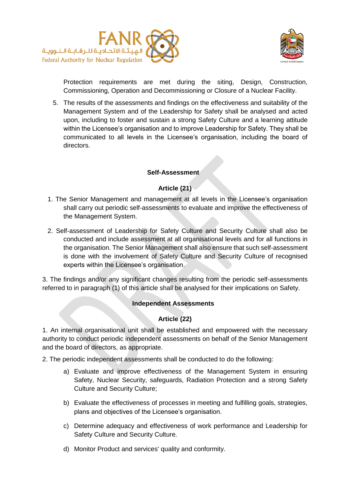



Protection requirements are met during the siting, Design, Construction, Commissioning, Operation and Decommissioning or Closure of a Nuclear Facility.

5. The results of the assessments and findings on the effectiveness and suitability of the Management System and of the Leadership for Safety shall be analysed and acted upon, including to foster and sustain a strong Safety Culture and a learning attitude within the Licensee's organisation and to improve Leadership for Safety. They shall be communicated to all levels in the Licensee's organisation, including the board of directors.

## **Self-Assessment**

# **Article (21)**

- <span id="page-21-1"></span><span id="page-21-0"></span>1. The Senior Management and management at all levels in the Licensee's organisation shall carry out periodic self-assessments to evaluate and improve the effectiveness of the Management System.
- 2. Self-assessment of Leadership for Safety Culture and Security Culture shall also be conducted and include assessment at all organisational levels and for all functions in the organisation. The Senior Management shall also ensure that such self-assessment is done with the involvement of Safety Culture and Security Culture of recognised experts within the Licensee's organisation.

<span id="page-21-2"></span>3. The findings and/or any significant changes resulting from the periodic self-assessments referred to in paragraph (1) of this article shall be analysed for their implications on Safety.

#### **Independent Assessments**

# **Article (22)**

<span id="page-21-3"></span>1. An internal organisational unit shall be established and empowered with the necessary authority to conduct periodic independent assessments on behalf of the Senior Management and the board of directors, as appropriate.

2. The periodic independent assessments shall be conducted to do the following:

- a) Evaluate and improve effectiveness of the Management System in ensuring Safety, Nuclear Security, safeguards, Radiation Protection and a strong Safety Culture and Security Culture;
- b) Evaluate the effectiveness of processes in meeting and fulfilling goals, strategies, plans and objectives of the Licensee's organisation.
- c) Determine adequacy and effectiveness of work performance and Leadership for Safety Culture and Security Culture.
- d) Monitor Product and services' quality and conformity.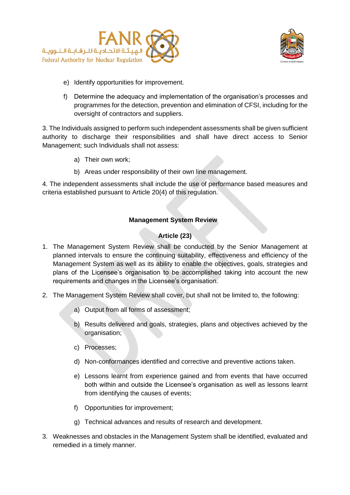



- e) Identify opportunities for improvement.
- f) Determine the adequacy and implementation of the organisation's processes and programmes for the detection, prevention and elimination of CFSI, including for the oversight of contractors and suppliers.

3. The Individuals assigned to perform such independent assessments shall be given sufficient authority to discharge their responsibilities and shall have direct access to Senior Management; such Individuals shall not assess:

- a) Their own work;
- b) Areas under responsibility of their own line management.

4. The independent assessments shall include the use of performance based measures and criteria established pursuant to Article 20(4) of this regulation.

#### **Management System Review**

#### **Article (23)**

- <span id="page-22-1"></span><span id="page-22-0"></span>1. The Management System Review shall be conducted by the Senior Management at planned intervals to ensure the continuing suitability, effectiveness and efficiency of the Management System as well as its ability to enable the objectives, goals, strategies and plans of the Licensee's organisation to be accomplished taking into account the new requirements and changes in the Licensee's organisation.
- 2. The Management System Review shall cover, but shall not be limited to, the following:
	- a) Output from all forms of assessment;
	- b) Results delivered and goals, strategies, plans and objectives achieved by the organisation;
	- c) Processes;
	- d) Non-conformances identified and corrective and preventive actions taken.
	- e) Lessons learnt from experience gained and from events that have occurred both within and outside the Licensee's organisation as well as lessons learnt from identifying the causes of events;
	- f) Opportunities for improvement;
	- g) Technical advances and results of research and development.
- 3. Weaknesses and obstacles in the Management System shall be identified, evaluated and remedied in a timely manner.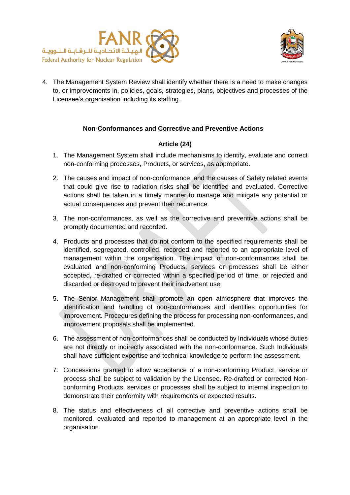



4. The Management System Review shall identify whether there is a need to make changes to, or improvements in, policies, goals, strategies, plans, objectives and processes of the Licensee's organisation including its staffing.

#### **Non-Conformances and Corrective and Preventive Actions**

#### **Article (24)**

- <span id="page-23-1"></span><span id="page-23-0"></span>1. The Management System shall include mechanisms to identify, evaluate and correct non-conforming processes, Products, or services, as appropriate.
- 2. The causes and impact of non-conformance, and the causes of Safety related events that could give rise to radiation risks shall be identified and evaluated. Corrective actions shall be taken in a timely manner to manage and mitigate any potential or actual consequences and prevent their recurrence.
- 3. The non-conformances, as well as the corrective and preventive actions shall be promptly documented and recorded.
- 4. Products and processes that do not conform to the specified requirements shall be identified, segregated, controlled, recorded and reported to an appropriate level of management within the organisation. The impact of non-conformances shall be evaluated and non-conforming Products, services or processes shall be either accepted, re-drafted or corrected within a specified period of time, or rejected and discarded or destroyed to prevent their inadvertent use.
- 5. The Senior Management shall promote an open atmosphere that improves the identification and handling of non-conformances and identifies opportunities for improvement. Procedures defining the process for processing non-conformances, and improvement proposals shall be implemented.
- 6. The assessment of non-conformances shall be conducted by Individuals whose duties are not directly or indirectly associated with the non-conformance. Such Individuals shall have sufficient expertise and technical knowledge to perform the assessment.
- 7. Concessions granted to allow acceptance of a non-conforming Product, service or process shall be subject to validation by the Licensee. Re-drafted or corrected Nonconforming Products, services or processes shall be subject to internal inspection to demonstrate their conformity with requirements or expected results.
- 8. The status and effectiveness of all corrective and preventive actions shall be monitored, evaluated and reported to management at an appropriate level in the organisation.